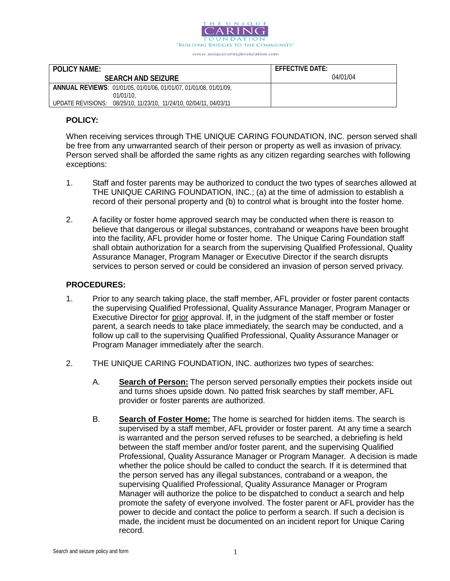

| <b>POLICY NAME:</b>                                                   | $F$ FFF $F$ CTIVF DATF: |
|-----------------------------------------------------------------------|-------------------------|
| <b>SEARCH AND SEIZURE</b>                                             | 04/01/04                |
| ANNUAL REVIEWS: 01/01/05, 01/01/06, 01/01/07, 01/01/08, 01/01/09,     |                         |
| 01/01/10.                                                             |                         |
| 08/25/10, 11/23/10, 11/24/10, 02/04/11, 04/03/11<br>UPDATE REVISIONS: |                         |

### **POLICY:**

When receiving services through THE UNIQUE CARING FOUNDATION, INC. person served shall be free from any unwarranted search of their person or property as well as invasion of privacy. Person served shall be afforded the same rights as any citizen regarding searches with following exceptions:

- 1. Staff and foster parents may be authorized to conduct the two types of searches allowed at THE UNIQUE CARING FOUNDATION, INC.; (a) at the time of admission to establish a record of their personal property and (b) to control what is brought into the foster home.
- 2. A facility or foster home approved search may be conducted when there is reason to believe that dangerous or illegal substances, contraband or weapons have been brought into the facility, AFL provider home or foster home. The Unique Caring Foundation staff shall obtain authorization for a search from the supervising Qualified Professional, Quality Assurance Manager, Program Manager or Executive Director if the search disrupts services to person served or could be considered an invasion of person served privacy.

#### **PROCEDURES:**

- 1. Prior to any search taking place, the staff member, AFL provider or foster parent contacts the supervising Qualified Professional, Quality Assurance Manager, Program Manager or Executive Director for prior approval. If, in the judgment of the staff member or foster parent, a search needs to take place immediately, the search may be conducted, and a follow up call to the supervising Qualified Professional, Quality Assurance Manager or Program Manager immediately after the search.
- 2. THE UNIQUE CARING FOUNDATION, INC. authorizes two types of searches:
	- A. **Search of Person:** The person served personally empties their pockets inside out and turns shoes upside down. No patted frisk searches by staff member, AFL provider or foster parents are authorized.
	- B. **Search of Foster Home:** The home is searched for hidden items. The search is supervised by a staff member, AFL provider or foster parent. At any time a search is warranted and the person served refuses to be searched, a debriefing is held between the staff member and/or foster parent, and the supervising Qualified Professional, Quality Assurance Manager or Program Manager. A decision is made whether the police should be called to conduct the search. If it is determined that the person served has any illegal substances, contraband or a weapon, the supervising Qualified Professional, Quality Assurance Manager or Program Manager will authorize the police to be dispatched to conduct a search and help promote the safety of everyone involved. The foster parent or AFL provider has the power to decide and contact the police to perform a search. If such a decision is made, the incident must be documented on an incident report for Unique Caring record.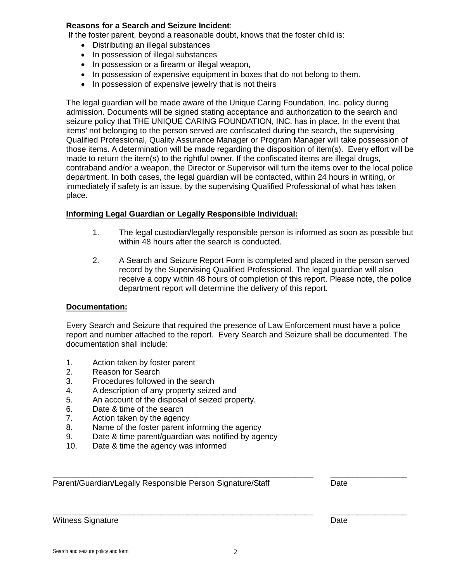# **Reasons for a Search and Seizure Incident**:

If the foster parent, beyond a reasonable doubt, knows that the foster child is:

- Distributing an illegal substances
- In possession of illegal substances
- In possession or a firearm or illegal weapon,
- In possession of expensive equipment in boxes that do not belong to them.
- In possession of expensive jewelry that is not theirs

The legal guardian will be made aware of the Unique Caring Foundation, Inc. policy during admission. Documents will be signed stating acceptance and authorization to the search and seizure policy that THE UNIQUE CARING FOUNDATION, INC. has in place. In the event that items' not belonging to the person served are confiscated during the search, the supervising Qualified Professional, Quality Assurance Manager or Program Manager will take possession of those items. A determination will be made regarding the disposition of item(s). Every effort will be made to return the item(s) to the rightful owner. If the confiscated items are illegal drugs, contraband and/or a weapon, the Director or Supervisor will turn the items over to the local police department. In both cases, the legal guardian will be contacted, within 24 hours in writing, or immediately if safety is an issue, by the supervising Qualified Professional of what has taken place.

# **Informing Legal Guardian or Legally Responsible Individual:**

- 1. The legal custodian/legally responsible person is informed as soon as possible but within 48 hours after the search is conducted.
- 2. A Search and Seizure Report Form is completed and placed in the person served record by the Supervising Qualified Professional. The legal guardian will also receive a copy within 48 hours of completion of this report. Please note, the police department report will determine the delivery of this report.

# **Documentation:**

Every Search and Seizure that required the presence of Law Enforcement must have a police report and number attached to the report. Every Search and Seizure shall be documented. The documentation shall include:

- 1. Action taken by foster parent
- 2. Reason for Search
- 3. Procedures followed in the search
- 4. A description of any property seized and<br>5. An account of the disposal of seized prop
- An account of the disposal of seized property.
- 6. Date & time of the search
- 7. Action taken by the agency
- 8. Name of the foster parent informing the agency
- 9. Date & time parent/guardian was notified by agency
- 10. Date & time the agency was informed

\_\_\_\_\_\_\_\_\_\_\_\_\_\_\_\_\_\_\_\_\_\_\_\_\_\_\_\_\_\_\_\_\_\_\_\_\_\_\_\_\_\_\_\_\_\_\_\_\_\_\_\_\_\_\_\_\_\_ \_\_\_\_\_\_\_\_\_\_\_\_\_\_\_\_\_ Parent/Guardian/Legally Responsible Person Signature/Staff Date

Witness Signature Date Date Number of the Unit of the Date Date Date

\_\_\_\_\_\_\_\_\_\_\_\_\_\_\_\_\_\_\_\_\_\_\_\_\_\_\_\_\_\_\_\_\_\_\_\_\_\_\_\_\_\_\_\_\_\_\_\_\_\_\_\_\_\_\_\_\_\_ \_\_\_\_\_\_\_\_\_\_\_\_\_\_\_\_\_